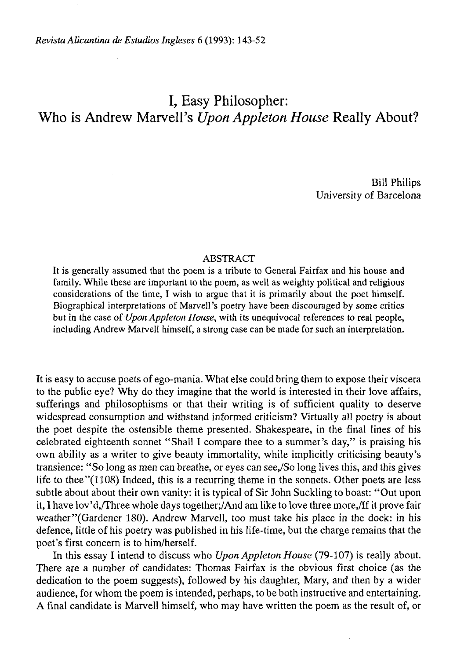# I, Easy Philosopher: Who is Andrew Marvell's *Upon Appleton House* Really About?

Bill Philips University of Barcelona

## ABSTRACT

It is generally assumed that the poem is a tribute to General Fairfax and his house and family. While these are important to the poem, as well as weighty political and religious considerations of the time, I wish to argüe that it is primarily about the poet himself. Biographical interpretations of Marvell's poetry have been discouraged by some critics but in the case of *Upon Appleton House,* with its unequivocal references to real people, including Andrew Marvell himself, a strong case can be made for such an interpretation.

It is easy to accuse poets of ego-mania. What else could bring them to expose their viscera to the public eye? Why do they imagine that the world is interested in their love affairs, sufferings and philosophisms or that their writing is of sufficient quality to deserve widespread consumption and withstand informed criticism? Virtually all poetry is about the poet despite the ostensible theme presented. Shakespeare, in the final lines of his ceiebrated eighteenth sonnet "Shall I compare thee to a summer's day," is praising his own ability as a writer to give beauty immortality, while implicitly criticising beauty's transience: "So long as men can breathe, or eyes can see,/So long lives this, and this gives life to thee" $(1108)$  Indeed, this is a recurring theme in the sonnets. Other poets are less subtle about about their own vanity: it is typical of Sir John Suckling to boast: "Out upon it, I have lov'd,/Three whole days together;/And am like to love three more,/If it prove fair weather"(Gardener 180). Andrew Marvell, too must take his place in the dock: in his defence, little of his poetry was published in his life-time, but the charge remains that the poet's first concern is to him/herself.

In this essay I intend to discuss who *Upon Appleton House* (79-107) is really about. There are a number of candidates: Thomas Fairfax is the obvious first choice (as the dedication to the poem suggests), followed by his daughter, Mary, and then by a wider audience, for whom the poem is intended, perhaps, to be both instructive and entertaining. A final candidate is Marvell himself, who may have written the poem as the result of, or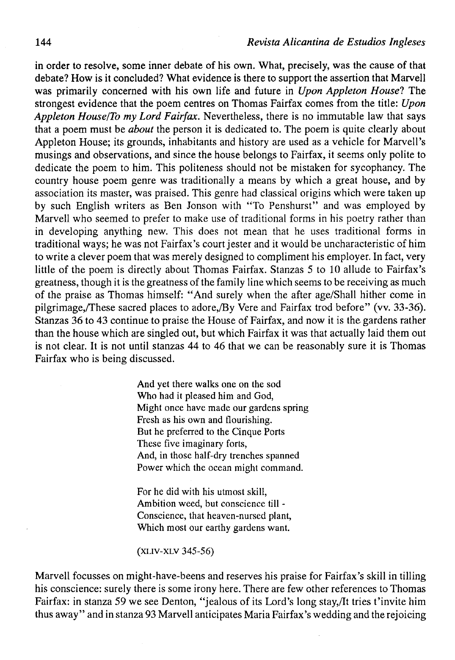in order to resolve, some inner debate of his own. What, precisely, was the cause of that debate? How is it concluded? What evidence is there to support the assertion that Marvell was primarily concerned with his own life and future in *Upon Appleton House*? The strongest evidence that the poem centres on Thomas Fairfax comes from the title: *Upon Appleton House/To my Lord Fairfax.* Nevertheless, there is no immutable law that says that a poem must be *about* the person it is dedicated to. The poem is quite clearly about Appleton House; its grounds, inhabitants and history are used as a vehicle for Marvell's musings and observations, and since the house belongs to Fairfax, it seems only polite to dedícate the poem to him. This politeness should not be mistaken for sycophancy. The country house poem genre was traditionally a means by which a great house, and by association its master, was praised. This genre had classical origins which were taken up by such English writers as Ben Jonson with "To Penshurst" and was employed by Marvell who seemed to prefer to make use of traditional forms in his poetry rather than in developing anything new. This does not mean that he uses traditional forms in traditional ways; he was not Fairfax's court jester and it would be uncharacteristic of him to write a clever poem that was merely designed to compliment his employer. In fact, very little of the poem is directly about Thomas Fairfax. Stanzas 5 to 10 allude to Fairfax's greatness, though it is the greatness of the family line which seems to be receiving as much of the praise as Thomas himself: "And surely when the after age/Shall hither come in pilgrimage,/These sacred places to adore,/By Vere and Fairfax trod before" (vv. 33-36). Stanzas 36 to 43 continué to praise the House of Fairfax, and now it is the gardens rather than the house which are singled out, but which Fairfax it was that actually laid them out is not clear. It is not until stanzas 44 to 46 that we can be reasonably sure it is Thomas Fairfax who is being discussed.

> And yet there walks one on the sod Who had it pleased him and God, Might once have made our gardens spring Fresh as his own and flourishing. But he preferred to the Cinque Ports These five imaginary forts, And, in those half-dry trenches spanned Power which the ocean might command.

For he did with his utmost skill, Ambition weed, but conscience till - Conscience, that heaven-nursed plant, Which most our earthy gardens want.

(XLIV-XLV 345-56)

Marvell focusses on might-have-beens and reserves his praise for Fairfax's skill in tilling his conscience: surely there is some irony here. There are few other references to Thomas Fairfax: in stanza 59 we see Denton, "jealous of its Lord's long stay,/It tries t'invite him thus away " and in stanza 93 Marvell anticipates Maria Fairfax's wedding and the rejoicing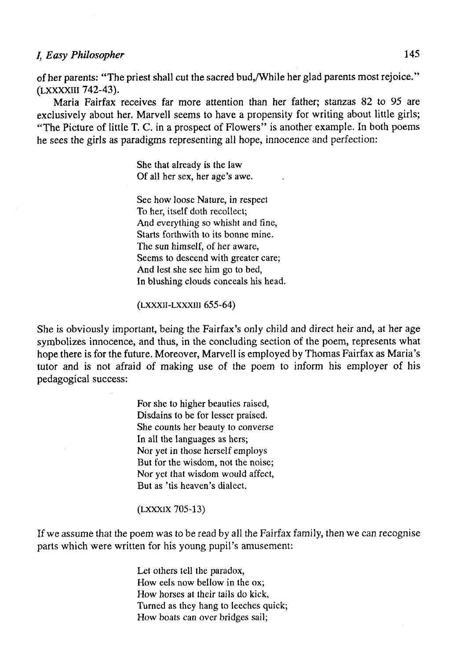# /, *Easy Philosopher* 145

of her parents: "The priest shall cut the sacred bud,/While her glad parents most rejoice." (LXXXXIII 742-43).

Maria Fairfax receives far more attention than her father; stanzas 82 to 95 are exclusively about her. Marvell seems to have a propensity for writing about little girls; "The Picture of little T. C. in a prospect of Flowers" is another example. In both poems he sees the girls as paradigms representing all hope, innocence and perfection:

> She that already is the law Of all her sex, her age's awe.

See how loose Nature, in respect To her, itself doth recollect; And everything so whisht and fine, Starts forthwith to its bonne mine. The sun himself, of her aware, Seems to descend with greater care; And lest she see him go to bed, In blushing clouds conceals his head.

#### (LXXXH-LXXXHI 655-64)

She is obviously important, being the Fairfax's only child and direct heir and, at her age symbolizes innocence, and thus, in the concluding section of the poem, represents what hope there is for the future. Moreover, Marvell is employed by Thomas Fairfax as Maria's tutor and is not afraid of making use of the poem to inform his employer of his pedagogical success:

> For she to higher beauties raised, Disdains to be for lesser praised. She counts her beauty to converse In all the languages as hers; Nor yet in those herself employs But for the wisdom, not the noise; Nor yet that wisdom would affect, But as 'tis heaven's dialect.

## (LXXXIX 705-13)

If we assume that the poem was to be read by all the Fairfax family, then we can recognise parts which were written for his young pupil's amusement:

> Let others tell the paradox, How eels now bellow in the ox; How horses at their tails do kick, Turned as they hang to leeches quick; How boats can over bridges sail;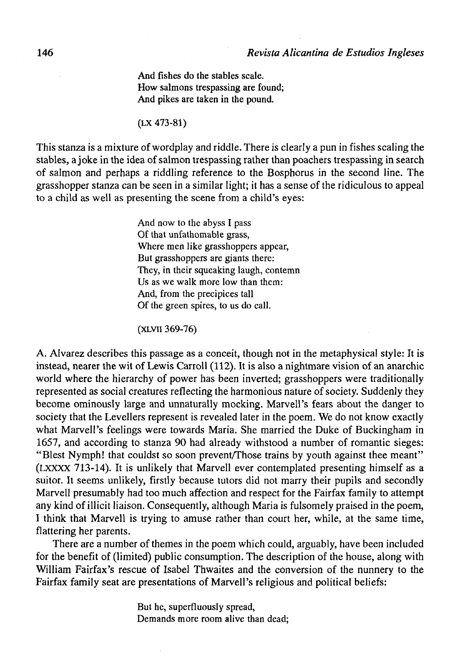And físhes do the stables scale. How salmons trespassing are found; And pikes are taken in the pound.

(LX 473-81)

This stanza is a mixture of wordplay and riddle. There is clearly a pun in fishes scaling the stables, a joke in the idea of salmon trespassing rather than poachers trespassing in search of saimón and perhaps a riddling reference to the Bosphorus in the second line. The grasshopper stanza can be seen in a similar light; it has a sense of the ridiculous to appeal to a child as well as presenting the scene from a child's eyes:

> And now to the abyss I pass Of that unfathomable grass, Where men like grasshoppers appear, But grasshoppers are giants there: They, in their squeaking laugh, contemn Us as we walk more low than them: And, from the precipices tall Of the green spires, to us do cali.

(XLVii 369-76)

A. Alvarez describes this passage as a conceit, though not in the metaphysical style: It is instead, nearer the wit of Lewis Carroll (112). It is also a nightmare visión of an anarchic world where the hierarchy of power has been inverted; grasshoppers were traditionally represented as social creatures reflecting the harmonious nature of society. Suddenly they become ominously large and unnaturally mocking. Marvell's fears about the danger to society that the Levellers represent is revealed later in the poem. We do not know exactly what Marvell's feelings were towards Maria. She married the Duke of Buckingham in 1657, and according to stanza 90 had already withstood a number of romantic sieges: "Blest Nymph! that couldst so soon prevent/Those trains by youth against thee meant" (LXXXX 713-14). It is unlikely that Marvell ever contemplated presenting himself as a suitor. It seems unlikely, firstly because tutors did not marry their pupils and secondly Marvell presumably had too much affection and respect for the Fairfax family to attempt any kind of illicit liaison. Consequently, although Maria is fulsomely praised in the poem, I think that Marvell is trying to amuse rather than court her, while, at the same time, flattering her parents.

There are a number of themes in the poem which could, arguably, have been included for the benefit of (limited) public consumption. The description of the house, along with William Fairfax's rescue of Isabel Thwaites and the conversion of the nunnery to the Fairfax family seat are presentations of Marvell's religious and political beliefs:

> But he, superfluously spread, Demands more room alive than dead;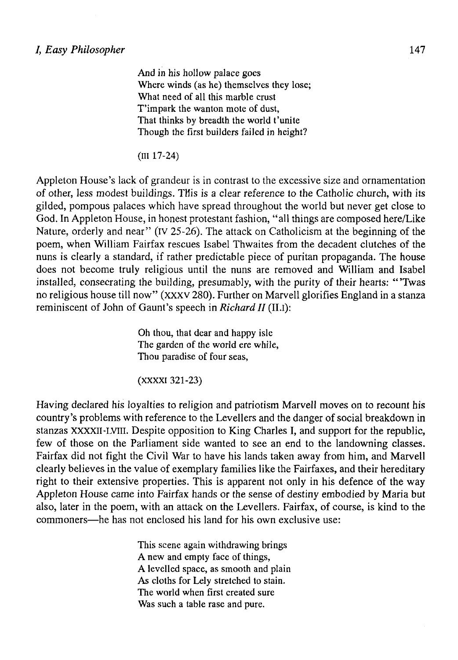And in his hollow palace goes Where winds (as he) themselves they lose; What need of all this marble crust T'impark the wanton mote of dust, That thinks by breadth the world t'unite Though the first builders failed in height?

(III 17-24)

Appleton House's lack of grandeur is in contrast to the excessive size and ornamentation of other, less modest buildings. THis is a clear reference to the Catholic church, with its gilded, pompous palaces which have spread throughout the world but never get cióse to God. In Appleton House, in honest protestant fashion, "all things are composed here/Like Nature, orderly and near" (IV 25-26). The attack on Catholicism at the beginning of the poem, when William Fairfax rescues Isabel Thwaites from the decadent clutches of the nuns is clearly a standard, if rather predictable piece of puritan propaganda. The house does not become truly religious until the nuns are removed and William and Isabel installed, consecrating the building, presumably, with the purity of their hearts: "'Twas no religious house till now" (XXXV 280). Further on Marvell glorifies England in a stanza reminiscent of John of Gaunt's speech in *Richard II* (II.I):

> Oh thou, that dear and happy isle The garden of the world ere while, Thou paradise of four seas,

(xxxxi 321-23)

Having declared his loyalties to religión and patriotism Marvell moves on to recount his country's problems with reference to the Levellers and the danger of social breakdown in stanzas XXXXII-LVIII. Despite opposition to King Charles I, and support for the republic, few of those on the Parliament side wanted to see an end to the landowning classes. Fairfax did not fight the Civil War to have his lands taken away from him, and Marvell clearly believes in the value of exemplary families like the Fairfaxes, and their hereditary right to their extensive properties. This is apparent not only in his defence of the way Appleton House carne into Fairfax hands or the sense of destiny embodied by Maria but also, later in the poem, with an attack on the Levellers. Fairfax, of course, is kind to the commoners—he has not enclosed his land for his own exclusive use:

> This scene again withdrawing brings A new and empty face of things, A levelled space, as smooth and plain As cloths for Lely stretched to stain. The world when first created sure Was such a table rase and pure.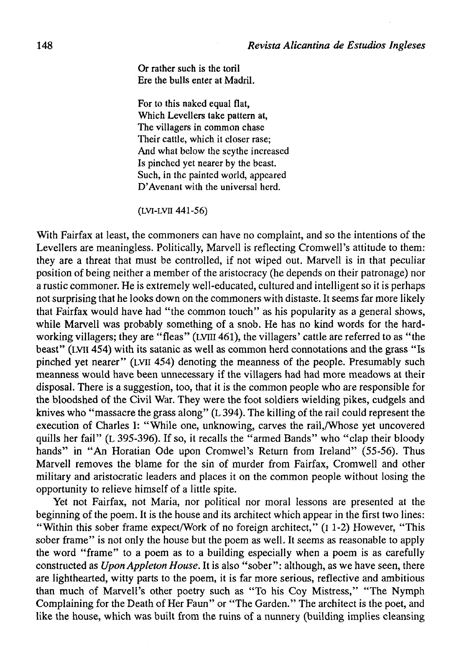Or rather such is the toril Ere the bulls enter at Madril.

For to this naked equal fíat, Which Levellers take pattern at, The villagers in common chase Their cattle, whích it closer rase; And what below the scythe increased Is pinched yet nearer by the beast. Such, in the painted world, appeared D'Avenant with the universal herd.

(LVI-LVII 441-56)

With Fairfax at least, the commoners can have no complaint, and so the intentions of the Levellers are meaningless. Politically, Marvell is reflecting Cromwell's attitude to them: they are a threat that must be controlled, if not wiped out. Marvell is in that peculiar position of being neither a member of the aristocracy (he depends on their patronage) nor a rustic commoner. He is extremely well-educated, cultured and intelligent so it is perhaps not surprising that he looks down on the commoners with distaste. It seems far more likely that Fairfax would have had "the common touch" as his popularity as a general shows, while Marvell was probably something of a snob. He has no kind words for the hardworking villagers; they are "fleas" (LVIII 461), the villagers' cattle are referred to as "the beast" (LVil 454) with its satanic as well as common herd connotations and the grass "Is pinched yet nearer" (LVil 454) denoting the meanness of the people. Presumably such meanness would have been unnecessary if the villagers had had more meadows at their disposal. There is a suggestion, too, that it is the common people who are responsible for the bloodshed of the Civil War. They were the foot soldiers wielding pikes, cudgels and knives who "massacre the grass along" (L 394). The killing of the rail could represent the execution of Charles I: "While one, unknowing, carves the rail,/Whose yet uncovered quills her fail" (L 395-396). If so, it recalls the "armed Bands" who "clap their bloody hands" in "An Horatian Ode upon Cromwel's Return from Ireland" (55-56). Thus Marvell removes the blame for the sin of murder from Fairfax, Cromwell and other military and aristocratic leaders and places it on the common people without losing the opportunity to relieve himself of a little spite.

Yet not Fairfax, not Maria, nor political nor moral lessons are presented at the beginning of the poem. It is the house and its architect which appear in the first two lines: "Within this sober frame expect/Work of no foreign architect," (I 1-2) However, "This sober frame" is not only the house but the poem as well. It seems as reasonable to apply the word "frame" to a poem as to a building especially when a poem is as carefully constructed as *Upon Appleton House*. It is also "sober": although, as we have seen, there are lighthearted, witty parts to the poem, it is far more serious, reflective and ambitious than much of Marvell's other poetry such as "To his Coy Mistress," "The Nymph Complaining for the Death of Her Faun" or "The Garden." The architect is the poet, and like the house, which was built from the ruins of a nunnery (building implies cleansing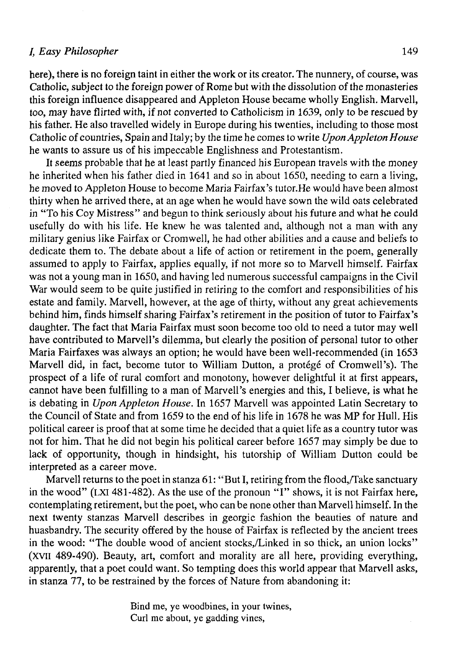# /, *Easy Philosopher* 149

here), there is no foreign taint in either the work or its creator. The nunnery, of course, was Catholic, subject to the foreign power of Rome but with the dissolution of the monasteries this foreign influence disappeared and Appleton House became wholly English. Marvell, too, may have flirted with, if not converted to Catholicism in 1639, only to be rescued by his father. He also travelled widely in Europe during his twenties, including to those most Catholic of countries, Spain and Italy; by the time he comes to write *Upon Appleton House*  he wants to assure us of his impeccable Englishness and Protestantism.

It seems probable that he at least partly financed his European travels with the money he inherited when his father died in 1641 and so in about 1650, needing to earn a living, he moved to Appleton House to become Maria Fairfax's tutor.He would have been almost thirty when he arrived there, at an age when he would have sown the wild oats celebrated in "To his Coy Mistress" and begun to think seriously about his future and what he could usefully do with his life. He knew he was talented and, although not a man with any military genius like Fairfax or Cromwell, he had other abilities and a cause and beliefs to dedícate them to. The debate about a life of action or retirement in the poem, generally assumed to apply to Fairfax, applies equally, if not more so to Marvell himself. Fairfax was not a young man in 1650, and having led numerous successful campaigns in the Civil War would seem to be quite justified in retiring to the comfort and responsibilities of his estate and family. Marvell, however, at the age of thirty, without any great achievements behind him, finds himself sharing Fairfax's retirement in the position of tutor to Fairfax's daughter. The fact that Maria Fairfax must soon become too old to need a tutor may well have contributed to Marvell's dilemma, but clearly the position of personal tutor to other Maria Fairfaxes was always an option; he would have been well-recommended (in 1653 Marvell did, in fact, become tutor to William Dutton, a protege of Cromwell's). The prospect of a life of rural comfort and monotony, however delightful it at first appears, cannot have been fulfilling to a man of Marvell's energies and this, I believe, is what he is debating in *Upon Appleton House.* In 1657 Marvell was appointed Latin Secretary to the Council of State and from 1659 to the end of his life in 1678 he was MP for Hull. His political career is proof that at some time he decided that a quiet life as a country tutor was not for him. That he did not begin his political career before 1657 may simply be due to lack of opportunity, though in hindsight, his tutorship of William Dutton could be interpreted as a career move.

Marvell returns to the poet in stanza 61: "But I, retiring from the flood,/Take sanctuary in the wood" (LXI 481-482). As the use of the pronoun "I" shows, it is not Fairfax here, contemplating retirement, but the poet, who can be none other than Marvell himself. In the next twenty stanzas Marvell describes in georgic fashion the beauties of nature and huasbandry. The security offered by the house of Fairfax is reflected by the ancient trees in the wood: "The double wood of ancient stocks,/Linked in so thick, an union locks" (XVII 489-490). Beauty, art, comfort and morality are all here, providing everything, apparently, that a poet could want. So tempting does this world appear that Marvell asks, in stanza 77, to be restrained by the forces of Nature from abandoning it:

> Bind me, ye woodbines, in your twines, Curl me about, ye gadding vines,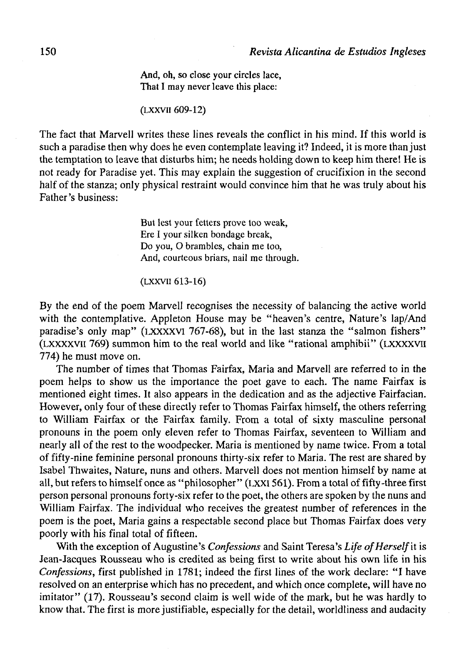And, oh, so close your circles lace, That I may never leave this place:

## (LXXVII 609-12)

The fact that Marvell writes these lines reveals the conflict in his mind. If this world is such a paradise then why does he even contemplate leaving it? Indeed, it is more than just the temptation to leave that disturbs him; he needs holding down to keep him there! He is not ready for Paradise yet. This may explain the suggestion of crucifixión in the second half of the stanza; only physical restraint would convince him that he was truly about his Father's business:

> But lest your fetters prove too weak, Ere I your silken bondage break, Do you, O brambles, chain me too, And, courteous briars, nail me through.

#### (LXXVH 613-16)

By the end of the poem Marvell recognises the necessity of balancing the active world with the contemplative. Appleton House may be "heaven's centre, Nature's lap/And paradise's only map" (LXXXXVI 767-68), but in the last stanza the "salmon fishers" (LXXXXVii 769) summon him to the real world and like "rational amphibii" (LXXXXVII 774) he must move on.

The number of times that Thomas Fairfax, Maria and Marvell are referred to in the poem helps to show us the importance the poet gave to each. The ñame Fairfax is mentioned eight times. It also appears in the dedication and as the adjective Fairfacian. However, only four of these directly refer to Thomas Fairfax himself, the others referring to William Fairfax or the Fairfax family. From a total of sixty masculine personal pronouns in the poem only eleven refer to Thomas Fairfax, seventeen to William and nearly all of the rest to the woodpecker. Maria is mentioned by name twice. From a total of fifty-nine feminíne personal pronouns thirty-six refer to Maria. The rest are shared by Isabel Thwaites, Nature, nuns and others. Marvell does not mention himself by ñame at all, but refers to himself once as "philosopher" (LXXI 561). From a total of fifty-three first person personal pronouns forty-six refer to the poet, the others are spoken by the nuns and William Fairfax. The individual who receives the greatest number of references in the poem is the poet, Maria gains a respectable second place but Thomas Fairfax does very poorly with his final total of fifteen.

With the exception of Augustine's *Confessions* and Saint Teresa's Life of Herself it is Jean-Jacques Rousseau who is credited as being first to write about his own life in his *Confessions,* first published in 1781; indeed the first lines of the work declare: "I have resolved on an enterprise which has no precedent, and which once complete, will have no imitator" (17). Rousseau's second claim is well wide of the mark, but he was hardly to know that. The first is more justifiable, especially for the detail, worldliness and audacity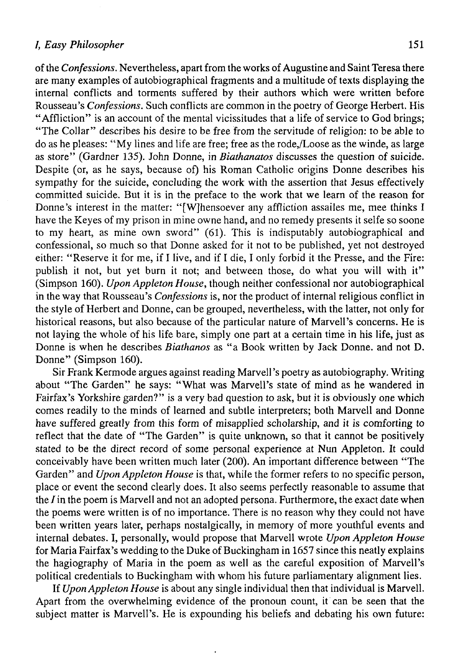## /, *Easy Philosopher* 151

of the *Confessions*. Nevertheless, apart from the works of Augustine and Saint Teresa there are many examples of autobiographical fragments and a multitude of texts displaying the internal conflicts and torments suffered by their authors which were written before Rousseau's *Confessions.* Such conflicts are common in the poetry of George Herbert. His "Affliction" is an account of the mental vicissitudes that a life of service to God brings; "The Collar" describes his desire to be free from the servitude of religión: to be able to do as he pleases: "My lines and life are free; free as the rode,/Loose as the winde, as large as store" (Gardner 135). John Donne, in *Biathanatos* discusses the question of suicide. Despite (or, as he says, because of) his Roman Catholic origins Donne describes his sympathy for the suicide, concluding the work with the assertion that Jesus effectively committed suicide. But it is in the preface to the work that we learn of the reason for Donne's interest in the matter: "[W]hensoever any affliction assailes me, mee thinks I have the Keyes of my prison in mine owne hand, and no remedy presents it selfe so soone to my heart, as mine own sword" (61). This is indisputably autobiographical and confessional, so much so that Donne asked for it not to be published, yet not destroyed either: "Reserve it for me, if I live, and if I die, I only forbid it the Presse, and the Fire: publish it not, but yet burn it not; and between those, do what you will with it" (Simpson 160). *Upon Appleton House,* though neither confessional ñor autobiographical in the way that Rousseau's *Confessions* is, ñor the product of internal religious conflict in the style of Herbert and Donne, can be grouped, nevertheless, with the latter, not only for historical reasons, but also because of the particular nature of Marvell's concerns. He is not laying the whole of his life bare, simply one part at a certain time in his life, just as Donne is when he describes *Biathanos* as "a Book written by Jack Donne. and not D. Donne" (Simpson 160).

Sir Frank Kermode argües against reading Marvell's poetry as autobiography. Writing about "The Garden" he says: "What was Marvell's state of mind as he wandered in Fairfax's Yorkshire garden?" is a very bad question to ask, but it is obviously one which comes readily to the minds of learned and subtle interpreters; both Marvell and Donne have suffered greatly from this form of misapplied scholarship, and it is comforting to reflect that the date of "The Garden" is quite unknown, so that it cannot be positively stated to be the direct record of some personal experience at Nun Appleton. It could conceivably have been written much later (200). An important difference between "The Garden" and *Upon Appleton House* is that, while the former refers to no specific person, place or event the second clearly does. It also seems perfectly reasonable to assume that the *I* in the poem is Marvell and not an adopted persona. Furthermore, the exact date when the poems were written is of no importance. There is no reason why they could not have been written years later, perhaps nostalgically, in memory of more youthful events and internal debates. I, personally, would propose that Marvell wrote *Upon Appleton House*  for Maria Fairfax's wedding to the Duke of Buckingham in 1657 since this neatly explains the hagiography of Maria in the poem as well as the careful exposition of Marvell's political credentials to Buckingham with whom his future parliamentary alignment lies.

If *Upon Appleton House* is about any single individual then that individual is Marvell. Apart from the overwhelming evidence of the pronoun count, it can be seen that the subject matter is Marvell's. He is expounding his beliefs and debating his own future: